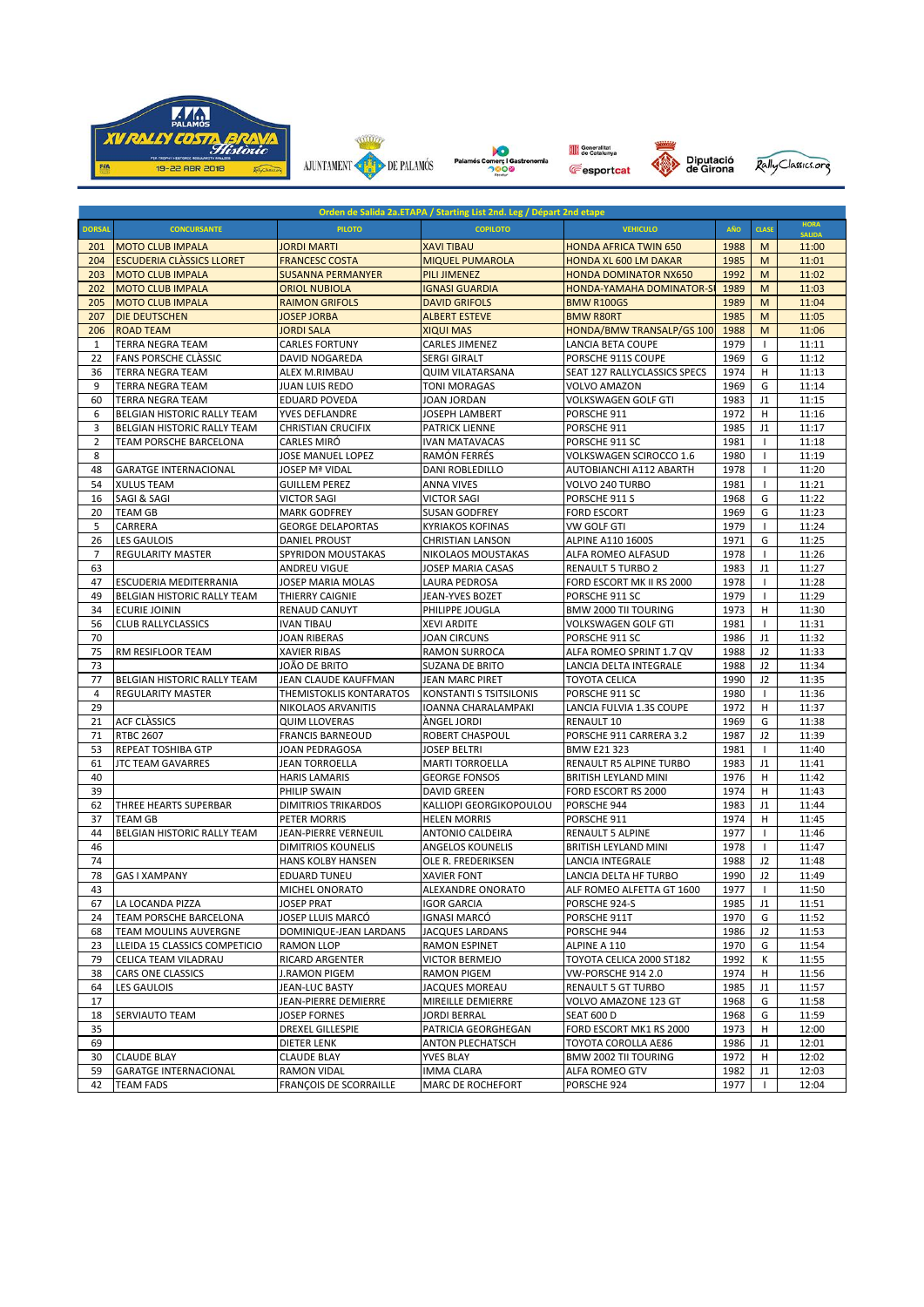











| Orden de Salida 2a.ETAPA / Starting List 2nd. Leg / Départ 2nd etape |                                  |                                             |                          |                                  |      |                |               |  |  |  |  |  |
|----------------------------------------------------------------------|----------------------------------|---------------------------------------------|--------------------------|----------------------------------|------|----------------|---------------|--|--|--|--|--|
| <b>DORSAL</b>                                                        | <b>CONCURSANTE</b>               | <b>PILOTO</b>                               | <b>COPILOTO</b>          | <b>VEHICULO</b>                  | AÑO  | <b>CLASE</b>   | <b>HORA</b>   |  |  |  |  |  |
|                                                                      | <b>MOTO CLUB IMPALA</b>          |                                             | <b>XAVI TIBAU</b>        |                                  | 1988 | M              | <b>SALIDA</b> |  |  |  |  |  |
| 201                                                                  | <b>ESCUDERIA CLÀSSICS LLORET</b> | <b>JORDI MARTI</b><br><b>FRANCESC COSTA</b> |                          | <b>HONDA AFRICA TWIN 650</b>     |      |                | 11:00         |  |  |  |  |  |
| 204                                                                  |                                  |                                             | <b>MIQUEL PUMAROLA</b>   | <b>HONDA XL 600 LM DAKAR</b>     | 1985 | M              | 11:01         |  |  |  |  |  |
| 203                                                                  | <b>MOTO CLUB IMPALA</b>          | <b>SUSANNA PERMANYER</b>                    | <b>PILI JIMENEZ</b>      | <b>HONDA DOMINATOR NX650</b>     | 1992 | M              | 11:02         |  |  |  |  |  |
| 202                                                                  | <b>MOTO CLUB IMPALA</b>          | <b>ORIOL NUBIOLA</b>                        | <b>IGNASI GUARDIA</b>    | <b>HONDA-YAMAHA DOMINATOR-SI</b> | 1989 | M              | 11:03         |  |  |  |  |  |
| 205                                                                  | <b>MOTO CLUB IMPALA</b>          | <b>RAIMON GRIFOLS</b>                       | <b>DAVID GRIFOLS</b>     | <b>BMW R100GS</b>                | 1989 | M              | 11:04         |  |  |  |  |  |
| 207                                                                  | <b>DIE DEUTSCHEN</b>             | <b>JOSEP JORBA</b>                          | <b>ALBERT ESTEVE</b>     | <b>BMW R80RT</b>                 | 1985 | M              | 11:05         |  |  |  |  |  |
| 206                                                                  | <b>ROAD TEAM</b>                 | <b>JORDI SALA</b>                           | <b>XIQUI MAS</b>         | HONDA/BMW TRANSALP/GS 100        | 1988 | M              | 11:06         |  |  |  |  |  |
| 1                                                                    | <b>TERRA NEGRA TEAM</b>          | <b>CARLES FORTUNY</b>                       | <b>CARLES JIMENEZ</b>    | LANCIA BETA COUPE                | 1979 | $\mathbf{I}$   | 11:11         |  |  |  |  |  |
| 22                                                                   | <b>FANS PORSCHE CLASSIC</b>      | <b>DAVID NOGAREDA</b>                       | <b>SERGI GIRALT</b>      | PORSCHE 911S COUPE               | 1969 | G              | 11:12         |  |  |  |  |  |
| 36                                                                   | <b>TERRA NEGRA TEAM</b>          | ALEX M.RIMBAU                               | <b>QUIM VILATARSANA</b>  | SEAT 127 RALLYCLASSICS SPECS     | 1974 | н              | 11:13         |  |  |  |  |  |
| 9                                                                    | <b>TERRA NEGRA TEAM</b>          | <b>JUAN LUIS REDO</b>                       | <b>TONI MORAGAS</b>      | <b>VOLVO AMAZON</b>              | 1969 | G              | 11:14         |  |  |  |  |  |
| 60                                                                   | <b>TERRA NEGRA TEAM</b>          | <b>EDUARD POVEDA</b>                        | JOAN JORDAN              | <b>VOLKSWAGEN GOLF GTI</b>       | 1983 | J1             | 11:15         |  |  |  |  |  |
| 6                                                                    | BELGIAN HISTORIC RALLY TEAM      | YVES DEFLANDRE                              | JOSEPH LAMBERT           | PORSCHE 911                      | 1972 | H              | 11:16         |  |  |  |  |  |
| 3                                                                    | BELGIAN HISTORIC RALLY TEAM      | <b>CHRISTIAN CRUCIFIX</b>                   | PATRICK LIENNE           | PORSCHE 911                      | 1985 | J1             | 11:17         |  |  |  |  |  |
| $\overline{2}$                                                       | TEAM PORSCHE BARCELONA           | CARLES MIRÓ                                 | <b>IVAN MATAVACAS</b>    | PORSCHE 911 SC                   | 1981 | $\mathbf{I}$   | 11:18         |  |  |  |  |  |
| 8                                                                    |                                  | JOSE MANUEL LOPEZ                           | RAMÓN FERRÉS             | VOLKSWAGEN SCIROCCO 1.6          | 1980 | $\mathbf{I}$   | 11:19         |  |  |  |  |  |
| 48                                                                   | <b>GARATGE INTERNACIONAL</b>     | <b>JOSEP Mª VIDAL</b>                       | DANI ROBLEDILLO          | AUTOBIANCHI A112 ABARTH          | 1978 | $\mathbf{I}$   | 11:20         |  |  |  |  |  |
| 54                                                                   | <b>XULUS TEAM</b>                | <b>GUILLEM PEREZ</b>                        | <b>ANNA VIVES</b>        | VOLVO 240 TURBO                  | 1981 | $\mathbf{I}$   | 11:21         |  |  |  |  |  |
| 16                                                                   | SAGI & SAGI                      | <b>VICTOR SAGI</b>                          | <b>VICTOR SAGI</b>       | PORSCHE 911 S                    | 1968 | G              | 11:22         |  |  |  |  |  |
| 20                                                                   | <b>TEAM GB</b>                   | <b>MARK GODFREY</b>                         | <b>SUSAN GODFREY</b>     | <b>FORD ESCORT</b>               | 1969 | G              | 11:23         |  |  |  |  |  |
| 5                                                                    | CARRERA                          | <b>GEORGE DELAPORTAS</b>                    | <b>KYRIAKOS KOFINAS</b>  | <b>VW GOLF GTI</b>               | 1979 | $\mathbf{I}$   | 11:24         |  |  |  |  |  |
| 26                                                                   | <b>LES GAULOIS</b>               | DANIEL PROUST                               | <b>CHRISTIAN LANSON</b>  | <b>ALPINE A110 1600S</b>         | 1971 | G              | 11:25         |  |  |  |  |  |
| $\overline{7}$                                                       | <b>REGULARITY MASTER</b>         | SPYRIDON MOUSTAKAS                          | NIKOLAOS MOUSTAKAS       | ALFA ROMEO ALFASUD               | 1978 | $\mathbf{I}$   | 11:26         |  |  |  |  |  |
| 63                                                                   |                                  | ANDREU VIGUE                                | JOSEP MARIA CASAS        | <b>RENAULT 5 TURBO 2</b>         | 1983 | J1             | 11:27         |  |  |  |  |  |
| 47                                                                   | ESCUDERIA MEDITERRANIA           | JOSEP MARIA MOLAS                           | LAURA PEDROSA            | FORD ESCORT MK II RS 2000        | 1978 | $\mathbf{I}$   | 11:28         |  |  |  |  |  |
| 49                                                                   |                                  | <b>THIERRY CAIGNIE</b>                      |                          |                                  | 1979 | $\mathbf{I}$   | 11:29         |  |  |  |  |  |
|                                                                      | BELGIAN HISTORIC RALLY TEAM      |                                             | JEAN-YVES BOZET          | PORSCHE 911 SC                   |      |                |               |  |  |  |  |  |
| 34                                                                   | <b>ECURIE JOININ</b>             | RENAUD CANUYT                               | PHILIPPE JOUGLA          | BMW 2000 TII TOURING             | 1973 | H              | 11:30         |  |  |  |  |  |
| 56                                                                   | <b>CLUB RALLYCLASSICS</b>        | <b>IVAN TIBAU</b>                           | <b>XEVI ARDITE</b>       | <b>VOLKSWAGEN GOLF GTI</b>       | 1981 | $\mathbf{I}$   | 11:31         |  |  |  |  |  |
| 70                                                                   |                                  | JOAN RIBERAS                                | <b>JOAN CIRCUNS</b>      | PORSCHE 911 SC                   | 1986 | J1             | 11:32         |  |  |  |  |  |
| 75                                                                   | RM RESIFLOOR TEAM                | <b>XAVIER RIBAS</b>                         | RAMON SURROCA            | ALFA ROMEO SPRINT 1.7 QV         | 1988 | J <sub>2</sub> | 11:33         |  |  |  |  |  |
| 73                                                                   |                                  | JOÃO DE BRITO                               | <b>SUZANA DE BRITO</b>   | LANCIA DELTA INTEGRALE           | 1988 | J2             | 11:34         |  |  |  |  |  |
| 77                                                                   | BELGIAN HISTORIC RALLY TEAM      | JEAN CLAUDE KAUFFMAN                        | JEAN MARC PIRET          | <b>TOYOTA CELICA</b>             | 1990 | J <sub>2</sub> | 11:35         |  |  |  |  |  |
| $\overline{4}$                                                       | <b>REGULARITY MASTER</b>         | THEMISTOKLIS KONTARATOS                     | KONSTANTI S TSITSILONIS  | PORSCHE 911 SC                   | 1980 | $\mathbf{I}$   | 11:36         |  |  |  |  |  |
| 29                                                                   |                                  | NIKOLAOS ARVANITIS                          | IOANNA CHARALAMPAKI      | LANCIA FULVIA 1.3S COUPE         | 1972 | H              | 11:37         |  |  |  |  |  |
| 21                                                                   | <b>ACF CLASSICS</b>              | <b>QUIM LLOVERAS</b>                        | ÀNGEL JORDI              | <b>RENAULT 10</b>                | 1969 | G              | 11:38         |  |  |  |  |  |
| 71                                                                   | <b>RTBC 2607</b>                 | <b>FRANCIS BARNEOUD</b>                     | ROBERT CHASPOUL          | PORSCHE 911 CARRERA 3.2          | 1987 | J <sub>2</sub> | 11:39         |  |  |  |  |  |
| 53                                                                   | REPEAT TOSHIBA GTP               | JOAN PEDRAGOSA                              | <b>JOSEP BELTRI</b>      | <b>BMW E21 323</b>               | 1981 | $\mathbf{I}$   | 11:40         |  |  |  |  |  |
| 61                                                                   | <b>JTC TEAM GAVARRES</b>         | JEAN TORROELLA                              | <b>MARTI TORROELLA</b>   | RENAULT R5 ALPINE TURBO          | 1983 | J1             | 11:41         |  |  |  |  |  |
| 40                                                                   |                                  | <b>HARIS LAMARIS</b>                        | <b>GEORGE FONSOS</b>     | BRITISH LEYLAND MINI             | 1976 | H              | 11:42         |  |  |  |  |  |
| 39                                                                   |                                  | PHILIP SWAIN                                | <b>DAVID GREEN</b>       | FORD ESCORT RS 2000              | 1974 | H              | 11:43         |  |  |  |  |  |
| 62                                                                   | THREE HEARTS SUPERBAR            | <b>DIMITRIOS TRIKARDOS</b>                  | KALLIOPI GEORGIKOPOULOU  | PORSCHE 944                      | 1983 | J1             | 11:44         |  |  |  |  |  |
| 37                                                                   | <b>TEAM GB</b>                   | PETER MORRIS                                | <b>HELEN MORRIS</b>      | PORSCHE 911                      | 1974 | н              | 11:45         |  |  |  |  |  |
| 44                                                                   | BELGIAN HISTORIC RALLY TEAM      | JEAN-PIERRE VERNEUIL                        | ANTONIO CALDEIRA         | <b>RENAULT 5 ALPINE</b>          | 1977 | $\mathbf{I}$   | 11:46         |  |  |  |  |  |
| 46                                                                   |                                  | <b>DIMITRIOS KOUNELIS</b>                   | ANGELOS KOUNELIS         | BRITISH LEYLAND MINI             | 1978 | $\mathbf{I}$   | 11:47         |  |  |  |  |  |
| 74                                                                   |                                  | HANS KOLBY HANSEN                           | OLE R. FREDERIKSEN       | LANCIA INTEGRALE                 | 1988 | J2             | 11:48         |  |  |  |  |  |
| 78                                                                   | <b>GAS I XAMPANY</b>             | <b>EDUARD TUNEU</b>                         | <b>XAVIER FONT</b>       | LANCIA DELTA HF TURBO            | 1990 | J <sub>2</sub> | 11:49         |  |  |  |  |  |
| 43                                                                   |                                  | <b>MICHEL ONORATO</b>                       | ALEXANDRE ONORATO        | ALF ROMEO ALFETTA GT 1600        | 1977 | T              | 11:50         |  |  |  |  |  |
| 67                                                                   | LA LOCANDA PIZZA                 | <b>JOSEP PRAT</b>                           | <b>IGOR GARCIA</b>       | PORSCHE 924-S                    | 1985 | J1             | 11:51         |  |  |  |  |  |
| 24                                                                   | TEAM PORSCHE BARCELONA           | JOSEP LLUIS MARCÓ                           | IGNASI MARCÓ             | PORSCHE 911T                     | 1970 | G              | 11:52         |  |  |  |  |  |
| 68                                                                   | <b>TEAM MOULINS AUVERGNE</b>     | DOMINIQUE-JEAN LARDANS                      | JACQUES LARDANS          | PORSCHE 944                      | 1986 | J2             | 11:53         |  |  |  |  |  |
| 23                                                                   | LLEIDA 15 CLASSICS COMPETICIO    | <b>RAMON LLOP</b>                           | <b>RAMON ESPINET</b>     | ALPINE A 110                     | 1970 | G              | 11:54         |  |  |  |  |  |
| 79                                                                   | CELICA TEAM VILADRAU             | RICARD ARGENTER                             | <b>VICTOR BERMEJO</b>    | TOYOTA CELICA 2000 ST182         | 1992 | К              | 11:55         |  |  |  |  |  |
| 38                                                                   | CARS ONE CLASSICS                | J.RAMON PIGEM                               | RAMON PIGEM              | VW-PORSCHE 914 2.0               | 1974 | н              | 11:56         |  |  |  |  |  |
| 64                                                                   | <b>LES GAULOIS</b>               | JEAN-LUC BASTY                              | JACQUES MOREAU           | <b>RENAULT 5 GT TURBO</b>        | 1985 | J1             | 11:57         |  |  |  |  |  |
|                                                                      |                                  |                                             |                          |                                  |      | G              |               |  |  |  |  |  |
| 17                                                                   |                                  | JEAN-PIERRE DEMIERRE                        | MIREILLE DEMIERRE        | VOLVO AMAZONE 123 GT             | 1968 |                | 11:58         |  |  |  |  |  |
| 18                                                                   | SERVIAUTO TEAM                   | JOSEP FORNES                                | JORDI BERRAL             | <b>SEAT 600 D</b>                | 1968 | G              | 11:59         |  |  |  |  |  |
| 35                                                                   |                                  | <b>DREXEL GILLESPIE</b>                     | PATRICIA GEORGHEGAN      | FORD ESCORT MK1 RS 2000          | 1973 | н              | 12:00         |  |  |  |  |  |
| 69                                                                   |                                  | DIETER LENK                                 | <b>ANTON PLECHATSCH</b>  | TOYOTA COROLLA AE86              | 1986 | J1             | 12:01         |  |  |  |  |  |
| 30                                                                   | <b>CLAUDE BLAY</b>               | <b>CLAUDE BLAY</b>                          | YVES BLAY                | BMW 2002 TII TOURING             | 1972 | H              | 12:02         |  |  |  |  |  |
| 59                                                                   | <b>GARATGE INTERNACIONAL</b>     | <b>RAMON VIDAL</b>                          | <b>IMMA CLARA</b>        | ALFA ROMEO GTV                   | 1982 | J1             | 12:03         |  |  |  |  |  |
| 42                                                                   | <b>TEAM FADS</b>                 | FRANÇOIS DE SCORRAILLE                      | <b>MARC DE ROCHEFORT</b> | PORSCHE 924                      | 1977 |                | 12:04         |  |  |  |  |  |